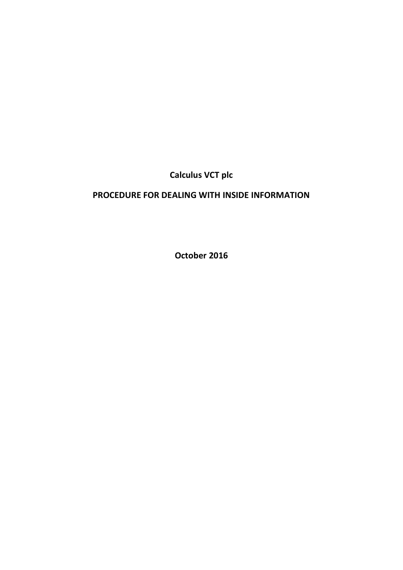**Calculus VCT plc**

## **PROCEDURE FOR DEALING WITH INSIDE INFORMATION**

**October 2016**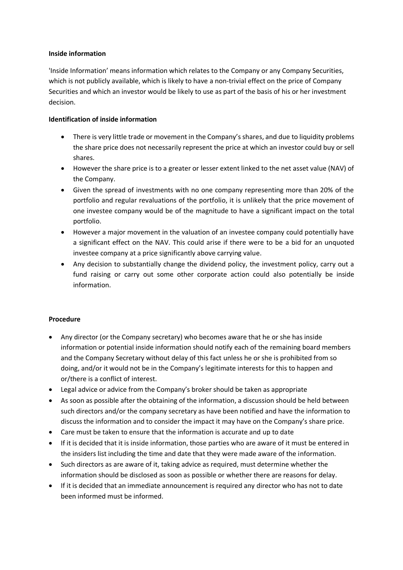## **Inside information**

'Inside Information' means information which relates to the Company or any Company Securities, which is not publicly available, which is likely to have a non-trivial effect on the price of Company Securities and which an investor would be likely to use as part of the basis of his or her investment decision.

## **Identification of inside information**

- There is very little trade or movement in the Company's shares, and due to liquidity problems the share price does not necessarily represent the price at which an investor could buy or sell shares.
- However the share price is to a greater or lesser extent linked to the net asset value (NAV) of the Company.
- Given the spread of investments with no one company representing more than 20% of the portfolio and regular revaluations of the portfolio, it is unlikely that the price movement of one investee company would be of the magnitude to have a significant impact on the total portfolio.
- However a major movement in the valuation of an investee company could potentially have a significant effect on the NAV. This could arise if there were to be a bid for an unquoted investee company at a price significantly above carrying value.
- Any decision to substantially change the dividend policy, the investment policy, carry out a fund raising or carry out some other corporate action could also potentially be inside information.

## **Procedure**

- Any director (or the Company secretary) who becomes aware that he or she has inside information or potential inside information should notify each of the remaining board members and the Company Secretary without delay of this fact unless he or she is prohibited from so doing, and/or it would not be in the Company's legitimate interests for this to happen and or/there is a conflict of interest.
- Legal advice or advice from the Company's broker should be taken as appropriate
- As soon as possible after the obtaining of the information, a discussion should be held between such directors and/or the company secretary as have been notified and have the information to discuss the information and to consider the impact it may have on the Company's share price.
- Care must be taken to ensure that the information is accurate and up to date
- If it is decided that it is inside information, those parties who are aware of it must be entered in the insiders list including the time and date that they were made aware of the information.
- Such directors as are aware of it, taking advice as required, must determine whether the information should be disclosed as soon as possible or whether there are reasons for delay.
- If it is decided that an immediate announcement is required any director who has not to date been informed must be informed.